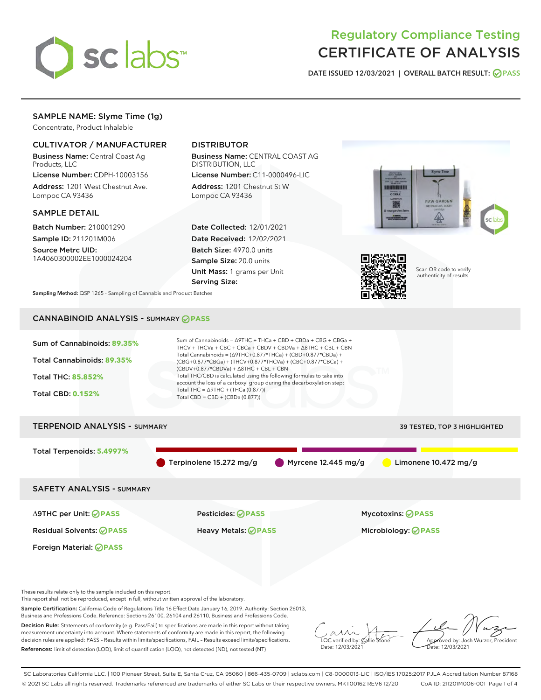

# Regulatory Compliance Testing CERTIFICATE OF ANALYSIS

DATE ISSUED 12/03/2021 | OVERALL BATCH RESULT: @ PASS

# SAMPLE NAME: Slyme Time (1g)

Concentrate, Product Inhalable

# CULTIVATOR / MANUFACTURER

Business Name: Central Coast Ag Products, LLC

License Number: CDPH-10003156 Address: 1201 West Chestnut Ave. Lompoc CA 93436

## SAMPLE DETAIL

Batch Number: 210001290 Sample ID: 211201M006

Source Metrc UID: 1A4060300002EE1000024204

# DISTRIBUTOR

Business Name: CENTRAL COAST AG DISTRIBUTION, LLC

License Number: C11-0000496-LIC Address: 1201 Chestnut St W Lompoc CA 93436

Date Collected: 12/01/2021 Date Received: 12/02/2021 Batch Size: 4970.0 units Sample Size: 20.0 units Unit Mass: 1 grams per Unit Serving Size:





Scan QR code to verify authenticity of results.

Sampling Method: QSP 1265 - Sampling of Cannabis and Product Batches

# CANNABINOID ANALYSIS - SUMMARY **PASS**



These results relate only to the sample included on this report.

This report shall not be reproduced, except in full, without written approval of the laboratory.

Sample Certification: California Code of Regulations Title 16 Effect Date January 16, 2019. Authority: Section 26013, Business and Professions Code. Reference: Sections 26100, 26104 and 26110, Business and Professions Code.

Decision Rule: Statements of conformity (e.g. Pass/Fail) to specifications are made in this report without taking measurement uncertainty into account. Where statements of conformity are made in this report, the following decision rules are applied: PASS – Results within limits/specifications, FAIL – Results exceed limits/specifications. References: limit of detection (LOD), limit of quantification (LOQ), not detected (ND), not tested (NT)

 $\overline{\text{C}}$  verified by:  $\mathcal C$ Date: 12/03/2021

Aved by: Josh Wurzer, President ate: 12/03/2021

SC Laboratories California LLC. | 100 Pioneer Street, Suite E, Santa Cruz, CA 95060 | 866-435-0709 | sclabs.com | C8-0000013-LIC | ISO/IES 17025:2017 PJLA Accreditation Number 87168 © 2021 SC Labs all rights reserved. Trademarks referenced are trademarks of either SC Labs or their respective owners. MKT00162 REV6 12/20 CoA ID: 211201M006-001 Page 1 of 4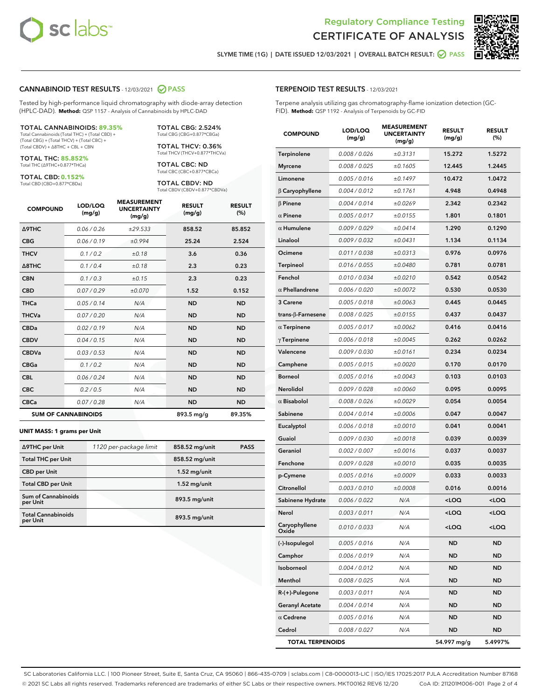



SLYME TIME (1G) | DATE ISSUED 12/03/2021 | OVERALL BATCH RESULT:  $\bigcirc$  PASS

#### CANNABINOID TEST RESULTS - 12/03/2021 2 PASS

Tested by high-performance liquid chromatography with diode-array detection (HPLC-DAD). **Method:** QSP 1157 - Analysis of Cannabinoids by HPLC-DAD

#### TOTAL CANNABINOIDS: **89.35%**

Total Cannabinoids (Total THC) + (Total CBD) + (Total CBG) + (Total THCV) + (Total CBC) + (Total CBDV) + ∆8THC + CBL + CBN

TOTAL THC: **85.852%** Total THC (∆9THC+0.877\*THCa)

TOTAL CBD: **0.152%**

Total CBD (CBD+0.877\*CBDa)

TOTAL CBG: 2.524% Total CBG (CBG+0.877\*CBGa)

TOTAL THCV: 0.36% Total THCV (THCV+0.877\*THCVa)

TOTAL CBC: ND Total CBC (CBC+0.877\*CBCa)

TOTAL CBDV: ND Total CBDV (CBDV+0.877\*CBDVa)

| <b>COMPOUND</b>            | LOD/LOQ<br>(mg/g) | <b>MEASUREMENT</b><br><b>UNCERTAINTY</b><br>(mg/g) | <b>RESULT</b><br>(mg/g) | <b>RESULT</b><br>(%) |
|----------------------------|-------------------|----------------------------------------------------|-------------------------|----------------------|
| <b>A9THC</b>               | 0.06/0.26         | ±29.533                                            | 858.52                  | 85.852               |
| <b>CBG</b>                 | 0.06/0.19         | ±0.994                                             | 25.24                   | 2.524                |
| <b>THCV</b>                | 0.1/0.2           | ±0.18                                              | 3.6                     | 0.36                 |
| $\triangle$ 8THC           | 0.1/0.4           | ±0.18                                              | 2.3                     | 0.23                 |
| <b>CBN</b>                 | 0.1/0.3           | ±0.15                                              | 2.3                     | 0.23                 |
| <b>CBD</b>                 | 0.07/0.29         | ±0.070                                             | 1.52                    | 0.152                |
| <b>THCa</b>                | 0.05/0.14         | N/A                                                | <b>ND</b>               | <b>ND</b>            |
| <b>THCVa</b>               | 0.07/0.20         | N/A                                                | <b>ND</b>               | <b>ND</b>            |
| <b>CBDa</b>                | 0.02/0.19         | N/A                                                | <b>ND</b>               | <b>ND</b>            |
| <b>CBDV</b>                | 0.04 / 0.15       | N/A                                                | <b>ND</b>               | <b>ND</b>            |
| <b>CBDVa</b>               | 0.03/0.53         | N/A                                                | <b>ND</b>               | <b>ND</b>            |
| <b>CBGa</b>                | 0.1/0.2           | N/A                                                | <b>ND</b>               | <b>ND</b>            |
| <b>CBL</b>                 | 0.06 / 0.24       | N/A                                                | <b>ND</b>               | <b>ND</b>            |
| <b>CBC</b>                 | 0.2 / 0.5         | N/A                                                | <b>ND</b>               | <b>ND</b>            |
| <b>CBCa</b>                | 0.07 / 0.28       | N/A                                                | <b>ND</b>               | <b>ND</b>            |
| <b>SUM OF CANNABINOIDS</b> |                   |                                                    | 893.5 mg/g              | 89.35%               |

#### **UNIT MASS: 1 grams per Unit**

| ∆9THC per Unit                        | 1120 per-package limit | 858.52 mg/unit | <b>PASS</b> |
|---------------------------------------|------------------------|----------------|-------------|
| <b>Total THC per Unit</b>             |                        | 858.52 mg/unit |             |
| <b>CBD</b> per Unit                   |                        | $1.52$ mg/unit |             |
| <b>Total CBD per Unit</b>             |                        | $1.52$ mg/unit |             |
| Sum of Cannabinoids<br>per Unit       |                        | 893.5 mg/unit  |             |
| <b>Total Cannabinoids</b><br>per Unit |                        | 893.5 mg/unit  |             |

| <b>COMPOUND</b>         | LOD/LOQ<br>(mg/g) | <b>MEASUREMENT</b><br><b>UNCERTAINTY</b><br>(mg/g) | <b>RESULT</b><br>(mg/g)                         | <b>RESULT</b><br>$(\%)$ |
|-------------------------|-------------------|----------------------------------------------------|-------------------------------------------------|-------------------------|
| Terpinolene             | 0.008 / 0.026     | ±0.3131                                            | 15.272                                          | 1.5272                  |
| <b>Myrcene</b>          | 0.008 / 0.025     | ±0.1605                                            | 12.445                                          | 1.2445                  |
| Limonene                | 0.005 / 0.016     | ±0.1497                                            | 10.472                                          | 1.0472                  |
| $\beta$ Caryophyllene   | 0.004 / 0.012     | ±0.1761                                            | 4.948                                           | 0.4948                  |
| $\beta$ Pinene          | 0.004 / 0.014     | ±0.0269                                            | 2.342                                           | 0.2342                  |
| $\alpha$ Pinene         | 0.005 / 0.017     | ±0.0155                                            | 1.801                                           | 0.1801                  |
| $\alpha$ Humulene       | 0.009/0.029       | ±0.0414                                            | 1.290                                           | 0.1290                  |
| Linalool                | 0.009 / 0.032     | ±0.0431                                            | 1.134                                           | 0.1134                  |
| Ocimene                 | 0.011 / 0.038     | ±0.0313                                            | 0.976                                           | 0.0976                  |
| <b>Terpineol</b>        | 0.016 / 0.055     | ±0.0480                                            | 0.781                                           | 0.0781                  |
| Fenchol                 | 0.010 / 0.034     | ±0.0210                                            | 0.542                                           | 0.0542                  |
| $\alpha$ Phellandrene   | 0.006 / 0.020     | ±0.0072                                            | 0.530                                           | 0.0530                  |
| 3 Carene                | 0.005 / 0.018     | ±0.0063                                            | 0.445                                           | 0.0445                  |
| trans-ß-Farnesene       | 0.008 / 0.025     | ±0.0155                                            | 0.437                                           | 0.0437                  |
| $\alpha$ Terpinene      | 0.005 / 0.017     | ±0.0062                                            | 0.416                                           | 0.0416                  |
| $\gamma$ Terpinene      | 0.006 / 0.018     | ±0.0045                                            | 0.262                                           | 0.0262                  |
| Valencene               | 0.009 / 0.030     | ±0.0161                                            | 0.234                                           | 0.0234                  |
| Camphene                | 0.005 / 0.015     | ±0.0020                                            | 0.170                                           | 0.0170                  |
| <b>Borneol</b>          | 0.005 / 0.016     | ±0.0043                                            | 0.103                                           | 0.0103                  |
| Nerolidol               | 0.009 / 0.028     | ±0.0060                                            | 0.095                                           | 0.0095                  |
| $\alpha$ Bisabolol      | 0.008 / 0.026     | ±0.0029                                            | 0.054                                           | 0.0054                  |
| Sabinene                | 0.004 / 0.014     | ±0.0006                                            | 0.047                                           | 0.0047                  |
| Eucalyptol              | 0.006 / 0.018     | ±0.0010                                            | 0.041                                           | 0.0041                  |
| Guaiol                  | 0.009 / 0.030     | ±0.0018                                            | 0.039                                           | 0.0039                  |
| Geraniol                | 0.002 / 0.007     | ±0.0016                                            | 0.037                                           | 0.0037                  |
| Fenchone                | 0.009 / 0.028     | ±0.0010                                            | 0.035                                           | 0.0035                  |
| p-Cymene                | 0.005 / 0.016     | ±0.0009                                            | 0.033                                           | 0.0033                  |
| Citronellol             | 0.003 / 0.010     | ±0.0008                                            | 0.016                                           | 0.0016                  |
| Sabinene Hydrate        | 0.006 / 0.022     | N/A                                                | <loq< th=""><th><loq< th=""></loq<></th></loq<> | <loq< th=""></loq<>     |
| Nerol                   | 0.003 / 0.011     | N/A                                                | <loq< th=""><th><loq< th=""></loq<></th></loq<> | <loq< th=""></loq<>     |
| Caryophyllene<br>Oxide  | 0.010 / 0.033     | N/A                                                | <loq< th=""><th><loq< th=""></loq<></th></loq<> | <loq< th=""></loq<>     |
| (-)-Isopulegol          | 0.005 / 0.016     | N/A                                                | ND                                              | <b>ND</b>               |
| Camphor                 | 0.006 / 0.019     | N/A                                                | ND                                              | ND                      |
| Isoborneol              | 0.004 / 0.012     | N/A                                                | ND                                              | <b>ND</b>               |
| Menthol                 | 0.008 / 0.025     | N/A                                                | ND                                              | <b>ND</b>               |
| $R-(+)$ -Pulegone       | 0.003 / 0.011     | N/A                                                | ND                                              | ND                      |
| <b>Geranyl Acetate</b>  | 0.004 / 0.014     | N/A                                                | ND                                              | <b>ND</b>               |
| $\alpha$ Cedrene        | 0.005 / 0.016     | N/A                                                | ND                                              | <b>ND</b>               |
| Cedrol                  | 0.008 / 0.027     | N/A                                                | ND                                              | ND                      |
| <b>TOTAL TERPENOIDS</b> |                   |                                                    | 54.997 mg/g                                     | 5.4997%                 |

SC Laboratories California LLC. | 100 Pioneer Street, Suite E, Santa Cruz, CA 95060 | 866-435-0709 | sclabs.com | C8-0000013-LIC | ISO/IES 17025:2017 PJLA Accreditation Number 87168 © 2021 SC Labs all rights reserved. Trademarks referenced are trademarks of either SC Labs or their respective owners. MKT00162 REV6 12/20 CoA ID: 211201M006-001 Page 2 of 4

# TERPENOID TEST RESULTS - 12/03/2021

Terpene analysis utilizing gas chromatography-flame ionization detection (GC-FID). **Method:** QSP 1192 - Analysis of Terpenoids by GC-FID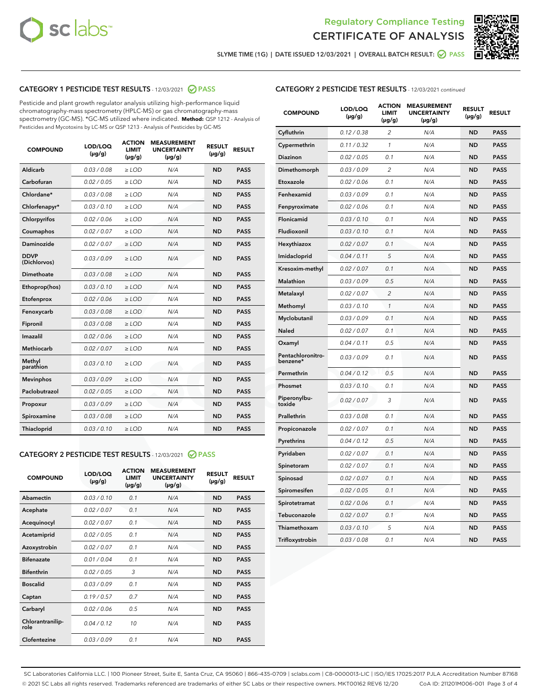



SLYME TIME (1G) | DATE ISSUED 12/03/2021 | OVERALL BATCH RESULT: 2 PASS

# CATEGORY 1 PESTICIDE TEST RESULTS - 12/03/2021 2 PASS

Pesticide and plant growth regulator analysis utilizing high-performance liquid chromatography-mass spectrometry (HPLC-MS) or gas chromatography-mass spectrometry (GC-MS). \*GC-MS utilized where indicated. **Method:** QSP 1212 - Analysis of Pesticides and Mycotoxins by LC-MS or QSP 1213 - Analysis of Pesticides by GC-MS

| 0.03/0.08<br><b>ND</b><br>Aldicarb<br>$>$ LOD<br>N/A<br><b>PASS</b><br>Carbofuran<br>0.02/0.05<br><b>PASS</b><br>$>$ LOD<br>N/A<br><b>ND</b><br>Chlordane*<br>0.03 / 0.08<br>N/A<br><b>ND</b><br><b>PASS</b><br>$\ge$ LOD<br>Chlorfenapyr*<br>0.03/0.10<br>N/A<br><b>PASS</b><br>$\ge$ LOD<br><b>ND</b><br>N/A<br><b>ND</b><br><b>PASS</b><br>Chlorpyrifos<br>0.02 / 0.06<br>$\ge$ LOD<br>Coumaphos<br>0.02 / 0.07<br>N/A<br><b>ND</b><br><b>PASS</b><br>$\ge$ LOD<br>Daminozide<br>0.02 / 0.07<br>N/A<br><b>ND</b><br><b>PASS</b><br>$\ge$ LOD<br><b>DDVP</b><br>0.03/0.09<br>$>$ LOD<br>N/A<br><b>ND</b><br><b>PASS</b><br>(Dichlorvos)<br>Dimethoate<br>0.03/0.08<br>$>$ LOD<br>N/A<br><b>ND</b><br><b>PASS</b><br>0.03/0.10<br>N/A<br><b>ND</b><br><b>PASS</b><br>Ethoprop(hos)<br>$\ge$ LOD<br>0.02 / 0.06<br>N/A<br><b>ND</b><br><b>PASS</b><br>Etofenprox<br>$\ge$ LOD<br>Fenoxycarb<br>0.03 / 0.08<br>N/A<br><b>ND</b><br><b>PASS</b><br>$\ge$ LOD<br>0.03 / 0.08<br><b>ND</b><br><b>PASS</b><br>Fipronil<br>$\ge$ LOD<br>N/A<br>Imazalil<br>0.02 / 0.06<br>$\ge$ LOD<br>N/A<br><b>ND</b><br><b>PASS</b><br>Methiocarb<br>0.02 / 0.07<br>N/A<br><b>ND</b><br><b>PASS</b><br>$\ge$ LOD<br>Methyl<br>0.03/0.10<br>$\ge$ LOD<br>N/A<br><b>ND</b><br><b>PASS</b><br>parathion<br>0.03/0.09<br><b>Mevinphos</b><br>$\ge$ LOD<br>N/A<br><b>ND</b><br><b>PASS</b><br>Paclobutrazol<br>0.02 / 0.05<br>$\ge$ LOD<br>N/A<br><b>ND</b><br><b>PASS</b><br>0.03/0.09<br>$\ge$ LOD<br>N/A<br><b>ND</b><br><b>PASS</b><br>Propoxur<br>Spiroxamine<br>0.03 / 0.08<br>$\ge$ LOD<br>N/A<br><b>ND</b><br><b>PASS</b><br>0.03/0.10<br><b>ND</b><br><b>PASS</b><br><b>Thiacloprid</b><br>$\ge$ LOD<br>N/A | <b>COMPOUND</b> | LOD/LOQ<br>$(\mu g/g)$ | <b>ACTION</b><br>LIMIT<br>$(\mu g/g)$ | <b>MEASUREMENT</b><br><b>UNCERTAINTY</b><br>$(\mu g/g)$ | <b>RESULT</b><br>$(\mu g/g)$ | <b>RESULT</b> |
|----------------------------------------------------------------------------------------------------------------------------------------------------------------------------------------------------------------------------------------------------------------------------------------------------------------------------------------------------------------------------------------------------------------------------------------------------------------------------------------------------------------------------------------------------------------------------------------------------------------------------------------------------------------------------------------------------------------------------------------------------------------------------------------------------------------------------------------------------------------------------------------------------------------------------------------------------------------------------------------------------------------------------------------------------------------------------------------------------------------------------------------------------------------------------------------------------------------------------------------------------------------------------------------------------------------------------------------------------------------------------------------------------------------------------------------------------------------------------------------------------------------------------------------------------------------------------------------------------------------------------------------------------------------------------------------------|-----------------|------------------------|---------------------------------------|---------------------------------------------------------|------------------------------|---------------|
|                                                                                                                                                                                                                                                                                                                                                                                                                                                                                                                                                                                                                                                                                                                                                                                                                                                                                                                                                                                                                                                                                                                                                                                                                                                                                                                                                                                                                                                                                                                                                                                                                                                                                              |                 |                        |                                       |                                                         |                              |               |
|                                                                                                                                                                                                                                                                                                                                                                                                                                                                                                                                                                                                                                                                                                                                                                                                                                                                                                                                                                                                                                                                                                                                                                                                                                                                                                                                                                                                                                                                                                                                                                                                                                                                                              |                 |                        |                                       |                                                         |                              |               |
|                                                                                                                                                                                                                                                                                                                                                                                                                                                                                                                                                                                                                                                                                                                                                                                                                                                                                                                                                                                                                                                                                                                                                                                                                                                                                                                                                                                                                                                                                                                                                                                                                                                                                              |                 |                        |                                       |                                                         |                              |               |
|                                                                                                                                                                                                                                                                                                                                                                                                                                                                                                                                                                                                                                                                                                                                                                                                                                                                                                                                                                                                                                                                                                                                                                                                                                                                                                                                                                                                                                                                                                                                                                                                                                                                                              |                 |                        |                                       |                                                         |                              |               |
|                                                                                                                                                                                                                                                                                                                                                                                                                                                                                                                                                                                                                                                                                                                                                                                                                                                                                                                                                                                                                                                                                                                                                                                                                                                                                                                                                                                                                                                                                                                                                                                                                                                                                              |                 |                        |                                       |                                                         |                              |               |
|                                                                                                                                                                                                                                                                                                                                                                                                                                                                                                                                                                                                                                                                                                                                                                                                                                                                                                                                                                                                                                                                                                                                                                                                                                                                                                                                                                                                                                                                                                                                                                                                                                                                                              |                 |                        |                                       |                                                         |                              |               |
|                                                                                                                                                                                                                                                                                                                                                                                                                                                                                                                                                                                                                                                                                                                                                                                                                                                                                                                                                                                                                                                                                                                                                                                                                                                                                                                                                                                                                                                                                                                                                                                                                                                                                              |                 |                        |                                       |                                                         |                              |               |
|                                                                                                                                                                                                                                                                                                                                                                                                                                                                                                                                                                                                                                                                                                                                                                                                                                                                                                                                                                                                                                                                                                                                                                                                                                                                                                                                                                                                                                                                                                                                                                                                                                                                                              |                 |                        |                                       |                                                         |                              |               |
|                                                                                                                                                                                                                                                                                                                                                                                                                                                                                                                                                                                                                                                                                                                                                                                                                                                                                                                                                                                                                                                                                                                                                                                                                                                                                                                                                                                                                                                                                                                                                                                                                                                                                              |                 |                        |                                       |                                                         |                              |               |
|                                                                                                                                                                                                                                                                                                                                                                                                                                                                                                                                                                                                                                                                                                                                                                                                                                                                                                                                                                                                                                                                                                                                                                                                                                                                                                                                                                                                                                                                                                                                                                                                                                                                                              |                 |                        |                                       |                                                         |                              |               |
|                                                                                                                                                                                                                                                                                                                                                                                                                                                                                                                                                                                                                                                                                                                                                                                                                                                                                                                                                                                                                                                                                                                                                                                                                                                                                                                                                                                                                                                                                                                                                                                                                                                                                              |                 |                        |                                       |                                                         |                              |               |
|                                                                                                                                                                                                                                                                                                                                                                                                                                                                                                                                                                                                                                                                                                                                                                                                                                                                                                                                                                                                                                                                                                                                                                                                                                                                                                                                                                                                                                                                                                                                                                                                                                                                                              |                 |                        |                                       |                                                         |                              |               |
|                                                                                                                                                                                                                                                                                                                                                                                                                                                                                                                                                                                                                                                                                                                                                                                                                                                                                                                                                                                                                                                                                                                                                                                                                                                                                                                                                                                                                                                                                                                                                                                                                                                                                              |                 |                        |                                       |                                                         |                              |               |
|                                                                                                                                                                                                                                                                                                                                                                                                                                                                                                                                                                                                                                                                                                                                                                                                                                                                                                                                                                                                                                                                                                                                                                                                                                                                                                                                                                                                                                                                                                                                                                                                                                                                                              |                 |                        |                                       |                                                         |                              |               |
|                                                                                                                                                                                                                                                                                                                                                                                                                                                                                                                                                                                                                                                                                                                                                                                                                                                                                                                                                                                                                                                                                                                                                                                                                                                                                                                                                                                                                                                                                                                                                                                                                                                                                              |                 |                        |                                       |                                                         |                              |               |
|                                                                                                                                                                                                                                                                                                                                                                                                                                                                                                                                                                                                                                                                                                                                                                                                                                                                                                                                                                                                                                                                                                                                                                                                                                                                                                                                                                                                                                                                                                                                                                                                                                                                                              |                 |                        |                                       |                                                         |                              |               |
|                                                                                                                                                                                                                                                                                                                                                                                                                                                                                                                                                                                                                                                                                                                                                                                                                                                                                                                                                                                                                                                                                                                                                                                                                                                                                                                                                                                                                                                                                                                                                                                                                                                                                              |                 |                        |                                       |                                                         |                              |               |
|                                                                                                                                                                                                                                                                                                                                                                                                                                                                                                                                                                                                                                                                                                                                                                                                                                                                                                                                                                                                                                                                                                                                                                                                                                                                                                                                                                                                                                                                                                                                                                                                                                                                                              |                 |                        |                                       |                                                         |                              |               |
|                                                                                                                                                                                                                                                                                                                                                                                                                                                                                                                                                                                                                                                                                                                                                                                                                                                                                                                                                                                                                                                                                                                                                                                                                                                                                                                                                                                                                                                                                                                                                                                                                                                                                              |                 |                        |                                       |                                                         |                              |               |
|                                                                                                                                                                                                                                                                                                                                                                                                                                                                                                                                                                                                                                                                                                                                                                                                                                                                                                                                                                                                                                                                                                                                                                                                                                                                                                                                                                                                                                                                                                                                                                                                                                                                                              |                 |                        |                                       |                                                         |                              |               |
|                                                                                                                                                                                                                                                                                                                                                                                                                                                                                                                                                                                                                                                                                                                                                                                                                                                                                                                                                                                                                                                                                                                                                                                                                                                                                                                                                                                                                                                                                                                                                                                                                                                                                              |                 |                        |                                       |                                                         |                              |               |

# CATEGORY 2 PESTICIDE TEST RESULTS - 12/03/2021 @ PASS

| <b>COMPOUND</b>          | LOD/LOO<br>$(\mu g/g)$ | <b>ACTION</b><br>LIMIT<br>$(\mu g/g)$ | <b>MEASUREMENT</b><br><b>UNCERTAINTY</b><br>$(\mu g/g)$ | <b>RESULT</b><br>$(\mu g/g)$ | <b>RESULT</b> |  |
|--------------------------|------------------------|---------------------------------------|---------------------------------------------------------|------------------------------|---------------|--|
| Abamectin                | 0.03/0.10              | 0.1                                   | N/A                                                     | <b>ND</b>                    | <b>PASS</b>   |  |
| Acephate                 | 0.02/0.07              | 0.1                                   | N/A                                                     | <b>ND</b>                    | <b>PASS</b>   |  |
| Acequinocyl              | 0.02/0.07              | 0.1                                   | N/A                                                     | <b>ND</b>                    | <b>PASS</b>   |  |
| Acetamiprid              | 0.02/0.05              | 0.1                                   | N/A                                                     | <b>ND</b>                    | <b>PASS</b>   |  |
| Azoxystrobin             | 0.02/0.07              | 0.1                                   | N/A                                                     | <b>ND</b>                    | <b>PASS</b>   |  |
| <b>Bifenazate</b>        | 0.01/0.04              | 0.1                                   | N/A                                                     | <b>ND</b>                    | <b>PASS</b>   |  |
| <b>Bifenthrin</b>        | 0.02/0.05              | 3                                     | N/A                                                     | <b>ND</b>                    | <b>PASS</b>   |  |
| <b>Boscalid</b>          | 0.03/0.09              | 0.1                                   | N/A                                                     | <b>ND</b>                    | <b>PASS</b>   |  |
| Captan                   | 0.19/0.57              | 0.7                                   | N/A                                                     | <b>ND</b>                    | <b>PASS</b>   |  |
| Carbaryl                 | 0.02/0.06              | 0.5                                   | N/A                                                     | <b>ND</b>                    | <b>PASS</b>   |  |
| Chlorantranilip-<br>role | 0.04/0.12              | 10                                    | N/A                                                     | <b>ND</b>                    | <b>PASS</b>   |  |
| Clofentezine             | 0.03/0.09              | 0.1                                   | N/A                                                     | <b>ND</b>                    | <b>PASS</b>   |  |

# CATEGORY 2 PESTICIDE TEST RESULTS - 12/03/2021 continued

| <b>COMPOUND</b>               | LOD/LOQ<br>(µg/g) | <b>ACTION</b><br><b>LIMIT</b><br>(µg/g) | <b>MEASUREMENT</b><br><b>UNCERTAINTY</b><br>$(\mu g/g)$ | <b>RESULT</b><br>(µg/g) | <b>RESULT</b> |
|-------------------------------|-------------------|-----------------------------------------|---------------------------------------------------------|-------------------------|---------------|
| Cyfluthrin                    | 0.12 / 0.38       | $\overline{c}$                          | N/A                                                     | <b>ND</b>               | <b>PASS</b>   |
| Cypermethrin                  | 0.11 / 0.32       | $\mathcal{I}$                           | N/A                                                     | <b>ND</b>               | <b>PASS</b>   |
| <b>Diazinon</b>               | 0.02 / 0.05       | 0.1                                     | N/A                                                     | <b>ND</b>               | <b>PASS</b>   |
| Dimethomorph                  | 0.03 / 0.09       | 2                                       | N/A                                                     | <b>ND</b>               | <b>PASS</b>   |
| Etoxazole                     | 0.02 / 0.06       | 0.1                                     | N/A                                                     | <b>ND</b>               | <b>PASS</b>   |
| Fenhexamid                    | 0.03 / 0.09       | 0.1                                     | N/A                                                     | <b>ND</b>               | <b>PASS</b>   |
| Fenpyroximate                 | 0.02 / 0.06       | 0.1                                     | N/A                                                     | <b>ND</b>               | <b>PASS</b>   |
| Flonicamid                    | 0.03/0.10         | 0.1                                     | N/A                                                     | <b>ND</b>               | <b>PASS</b>   |
| Fludioxonil                   | 0.03 / 0.10       | 0.1                                     | N/A                                                     | <b>ND</b>               | <b>PASS</b>   |
| Hexythiazox                   | 0.02 / 0.07       | 0.1                                     | N/A                                                     | <b>ND</b>               | <b>PASS</b>   |
| Imidacloprid                  | 0.04 / 0.11       | 5                                       | N/A                                                     | <b>ND</b>               | <b>PASS</b>   |
| Kresoxim-methyl               | 0.02 / 0.07       | 0.1                                     | N/A                                                     | <b>ND</b>               | <b>PASS</b>   |
| Malathion                     | 0.03 / 0.09       | 0.5                                     | N/A                                                     | <b>ND</b>               | <b>PASS</b>   |
| Metalaxyl                     | 0.02 / 0.07       | $\overline{c}$                          | N/A                                                     | <b>ND</b>               | <b>PASS</b>   |
| Methomyl                      | 0.03/0.10         | 1                                       | N/A                                                     | <b>ND</b>               | <b>PASS</b>   |
| Myclobutanil                  | 0.03 / 0.09       | 0.1                                     | N/A                                                     | <b>ND</b>               | <b>PASS</b>   |
| Naled                         | 0.02 / 0.07       | 0.1                                     | N/A                                                     | <b>ND</b>               | <b>PASS</b>   |
| Oxamyl                        | 0.04 / 0.11       | 0.5                                     | N/A                                                     | ND                      | <b>PASS</b>   |
| Pentachloronitro-<br>benzene* | 0.03 / 0.09       | 0.1                                     | N/A                                                     | <b>ND</b>               | <b>PASS</b>   |
| Permethrin                    | 0.04 / 0.12       | 0.5                                     | N/A                                                     | <b>ND</b>               | <b>PASS</b>   |
| Phosmet                       | 0.03 / 0.10       | 0.1                                     | N/A                                                     | <b>ND</b>               | <b>PASS</b>   |
| Piperonylbu-<br>toxide        | 0.02 / 0.07       | 3                                       | N/A                                                     | <b>ND</b>               | <b>PASS</b>   |
| Prallethrin                   | 0.03 / 0.08       | 0.1                                     | N/A                                                     | <b>ND</b>               | <b>PASS</b>   |
| Propiconazole                 | 0.02 / 0.07       | 0.1                                     | N/A                                                     | <b>ND</b>               | <b>PASS</b>   |
| Pyrethrins                    | 0.04 / 0.12       | 0.5                                     | N/A                                                     | <b>ND</b>               | <b>PASS</b>   |
| Pyridaben                     | 0.02 / 0.07       | 0.1                                     | N/A                                                     | <b>ND</b>               | <b>PASS</b>   |
| Spinetoram                    | 0.02 / 0.07       | 0.1                                     | N/A                                                     | <b>ND</b>               | <b>PASS</b>   |
| Spinosad                      | 0.02 / 0.07       | 0.1                                     | N/A                                                     | <b>ND</b>               | <b>PASS</b>   |
| Spiromesifen                  | 0.02 / 0.05       | 0.1                                     | N/A                                                     | <b>ND</b>               | <b>PASS</b>   |
| Spirotetramat                 | 0.02 / 0.06       | 0.1                                     | N/A                                                     | <b>ND</b>               | <b>PASS</b>   |
| Tebuconazole                  | 0.02 / 0.07       | 0.1                                     | N/A                                                     | <b>ND</b>               | <b>PASS</b>   |
| Thiamethoxam                  | 0.03 / 0.10       | 5                                       | N/A                                                     | <b>ND</b>               | <b>PASS</b>   |
| Trifloxystrobin               | 0.03 / 0.08       | 0.1                                     | N/A                                                     | <b>ND</b>               | <b>PASS</b>   |

SC Laboratories California LLC. | 100 Pioneer Street, Suite E, Santa Cruz, CA 95060 | 866-435-0709 | sclabs.com | C8-0000013-LIC | ISO/IES 17025:2017 PJLA Accreditation Number 87168 © 2021 SC Labs all rights reserved. Trademarks referenced are trademarks of either SC Labs or their respective owners. MKT00162 REV6 12/20 CoA ID: 211201M006-001 Page 3 of 4